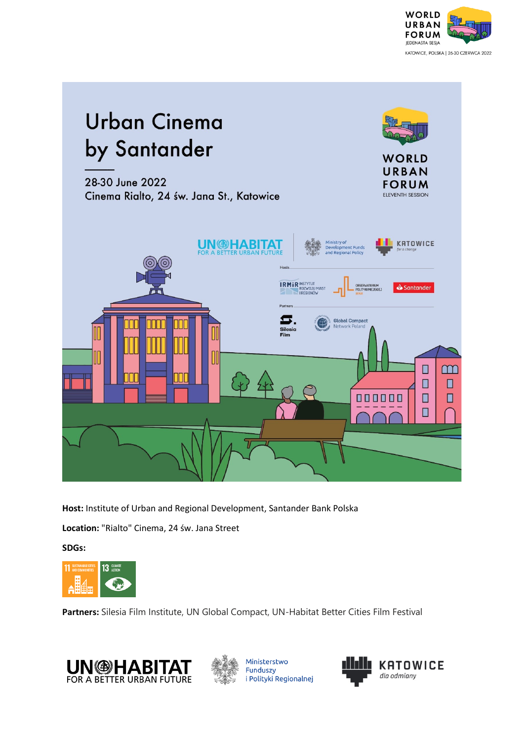



**Host:** Institute of Urban and Regional Development, Santander Bank Polska

**Location:** "Rialto" Cinema, 24 św. Jana Street

**SDGs:**



**Partners:** Silesia Film Institute, UN Global Compact, UN-Habitat Better Cities Film Festival





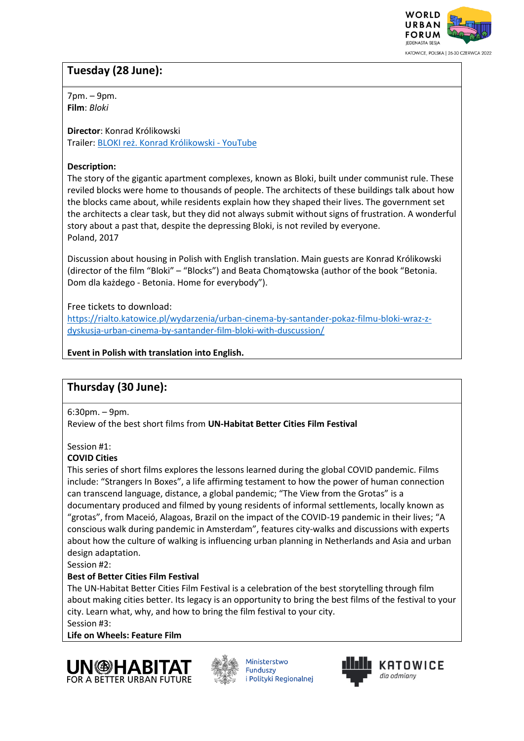

## **Tuesday (28 June):**

7pm. – 9pm. **Film**: *Bloki*

**Director**: Konrad Królikowski Trailer: [BLOKI reż. Konrad Królikowski](https://www.youtube.com/watch?v=STr61vcvyVk) - YouTube

#### **Description:**

The story of the gigantic apartment complexes, known as Bloki, built under communist rule. These reviled blocks were home to thousands of people. The architects of these buildings talk about how the blocks came about, while residents explain how they shaped their lives. The government set the architects a clear task, but they did not always submit without signs of frustration. A wonderful story about a past that, despite the depressing Bloki, is not reviled by everyone. Poland, 2017

Discussion about housing in Polish with English translation. Main guests are Konrad Królikowski (director of the film "Bloki" – "Blocks") and Beata Chomątowska (author of the book "Betonia. Dom dla każdego - Betonia. Home for everybody").

Free tickets to download:

[https://rialto.katowice.pl/wydarzenia/urban-cinema-by-santander-pokaz-filmu-bloki-wraz-z](https://rialto.katowice.pl/wydarzenia/urban-cinema-by-santander-pokaz-filmu-bloki-wraz-z-dyskusja-urban-cinema-by-santander-film-bloki-with-duscussion/)[dyskusja-urban-cinema-by-santander-film-bloki-with-duscussion/](https://rialto.katowice.pl/wydarzenia/urban-cinema-by-santander-pokaz-filmu-bloki-wraz-z-dyskusja-urban-cinema-by-santander-film-bloki-with-duscussion/)

**Event in Polish with translation into English.** 

# **Thursday (30 June):**

6:30pm. – 9pm.

Review of the best short films from **UN-Habitat Better Cities Film Festival**

### Session #1:

### **COVID Cities**

This series of short films explores the lessons learned during the global COVID pandemic. Films include: "Strangers In Boxes", a life affirming testament to how the power of human connection can transcend language, distance, a global pandemic; "The View from the Grotas" is a documentary produced and filmed by young residents of informal settlements, locally known as "grotas", from Maceió, Alagoas, Brazil on the impact of the COVID-19 pandemic in their lives; "A conscious walk during pandemic in Amsterdam", features city-walks and discussions with experts about how the culture of walking is influencing urban planning in Netherlands and Asia and urban design adaptation.

Session #2:

### **Best of Better Cities Film Festival**

The UN-Habitat Better Cities Film Festival is a celebration of the best storytelling through film about making cities better. Its legacy is an opportunity to bring the best films of the festival to your city. Learn what, why, and how to bring the film festival to your city.

Session #3:

**Life on Wheels: Feature Film**





Ministerstwo Funduszv i Polityki Regionalnej